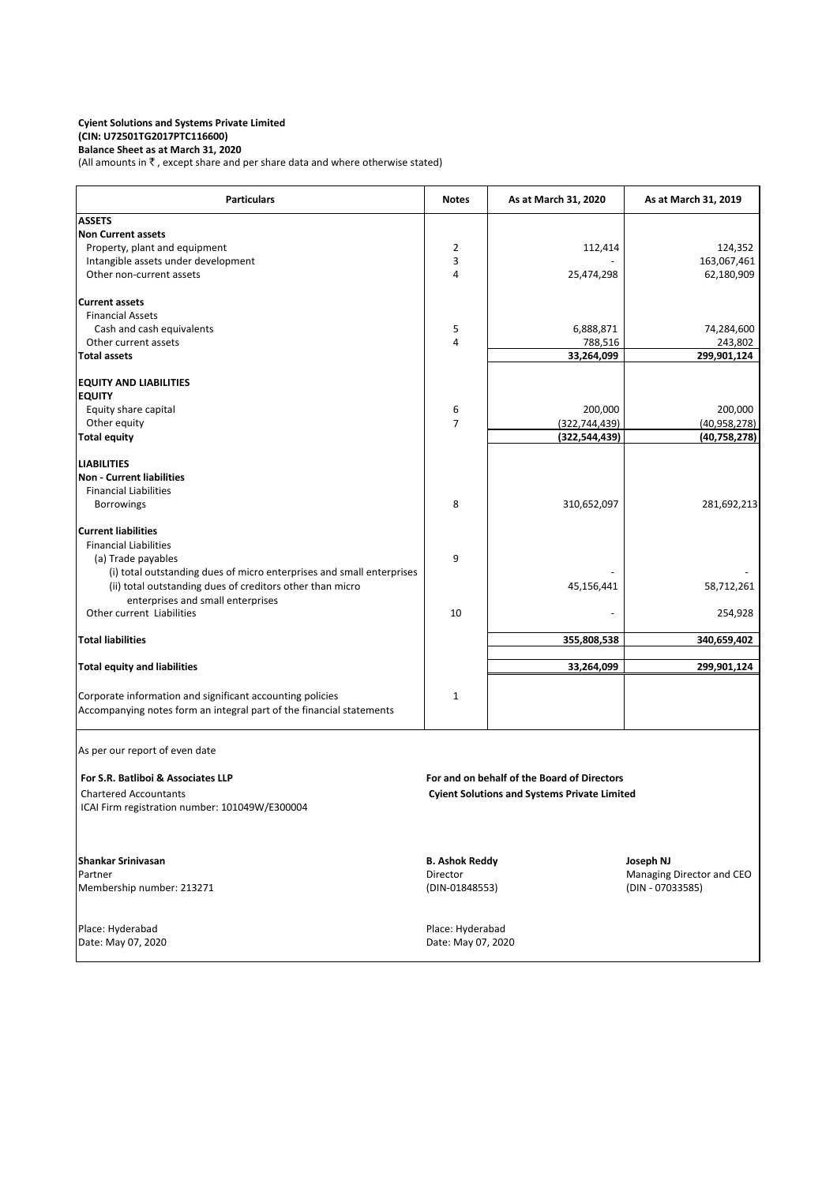#### **Cyient Solutions and Systems Private Limited (CIN: U72501TG2017PTC116600) Balance Sheet as at March 31, 2020**

(All amounts in  $\bar{\tau}$  , except share and per share data and where otherwise stated)

| <b>Particulars</b>                                                    | <b>Notes</b>                                        | As at March 31, 2020                        | As at March 31, 2019      |
|-----------------------------------------------------------------------|-----------------------------------------------------|---------------------------------------------|---------------------------|
| <b>ASSETS</b>                                                         |                                                     |                                             |                           |
| <b>Non Current assets</b>                                             |                                                     |                                             |                           |
| Property, plant and equipment                                         | 2                                                   | 112,414                                     | 124,352                   |
| Intangible assets under development                                   | 3                                                   |                                             | 163,067,461               |
| Other non-current assets                                              | 4                                                   | 25,474,298                                  | 62,180,909                |
| <b>Current assets</b>                                                 |                                                     |                                             |                           |
| <b>Financial Assets</b>                                               |                                                     |                                             |                           |
| Cash and cash equivalents                                             | 5                                                   | 6,888,871                                   | 74,284,600                |
| Other current assets                                                  | 4                                                   | 788,516                                     | 243,802                   |
| <b>Total assets</b>                                                   |                                                     | 33,264,099                                  | 299,901,124               |
| <b>EQUITY AND LIABILITIES</b>                                         |                                                     |                                             |                           |
| <b>EQUITY</b>                                                         |                                                     |                                             |                           |
| Equity share capital                                                  | 6                                                   | 200,000                                     | 200,000                   |
| Other equity                                                          | $\overline{7}$                                      | (322, 744, 439)                             | (40, 958, 278)            |
| <b>Total equity</b>                                                   |                                                     | (322, 544, 439)                             | (40, 758, 278)            |
| <b>LIABILITIES</b>                                                    |                                                     |                                             |                           |
| <b>Non - Current liabilities</b>                                      |                                                     |                                             |                           |
| <b>Financial Liabilities</b>                                          |                                                     |                                             |                           |
| Borrowings                                                            | 8                                                   | 310,652,097                                 | 281,692,213               |
| <b>Current liabilities</b>                                            |                                                     |                                             |                           |
| <b>Financial Liabilities</b>                                          |                                                     |                                             |                           |
| (a) Trade payables                                                    | 9                                                   |                                             |                           |
| (i) total outstanding dues of micro enterprises and small enterprises |                                                     |                                             |                           |
| (ii) total outstanding dues of creditors other than micro             |                                                     | 45,156,441                                  | 58,712,261                |
| enterprises and small enterprises                                     |                                                     |                                             |                           |
| Other current Liabilities                                             | 10                                                  |                                             | 254,928                   |
| <b>Total liabilities</b>                                              |                                                     | 355,808,538                                 | 340,659,402               |
| <b>Total equity and liabilities</b>                                   |                                                     | 33,264,099                                  | 299,901,124               |
|                                                                       |                                                     |                                             |                           |
| Corporate information and significant accounting policies             | 1                                                   |                                             |                           |
| Accompanying notes form an integral part of the financial statements  |                                                     |                                             |                           |
| As per our report of even date                                        |                                                     |                                             |                           |
|                                                                       |                                                     |                                             |                           |
| For S.R. Batliboi & Associates LLP                                    |                                                     | For and on behalf of the Board of Directors |                           |
| <b>Chartered Accountants</b>                                          | <b>Cyient Solutions and Systems Private Limited</b> |                                             |                           |
| ICAI Firm registration number: 101049W/E300004                        |                                                     |                                             |                           |
| <b>Shankar Srinivasan</b>                                             | <b>B. Ashok Reddy</b>                               |                                             | Joseph NJ                 |
| Partner                                                               | Director                                            |                                             | Managing Director and CEO |
| Membership number: 213271                                             | (DIN-01848553)                                      |                                             | (DIN - 07033585)          |
|                                                                       |                                                     |                                             |                           |
| Place: Hyderabad                                                      | Place: Hyderabad                                    |                                             |                           |
| Date: May 07, 2020                                                    | Date: May 07, 2020                                  |                                             |                           |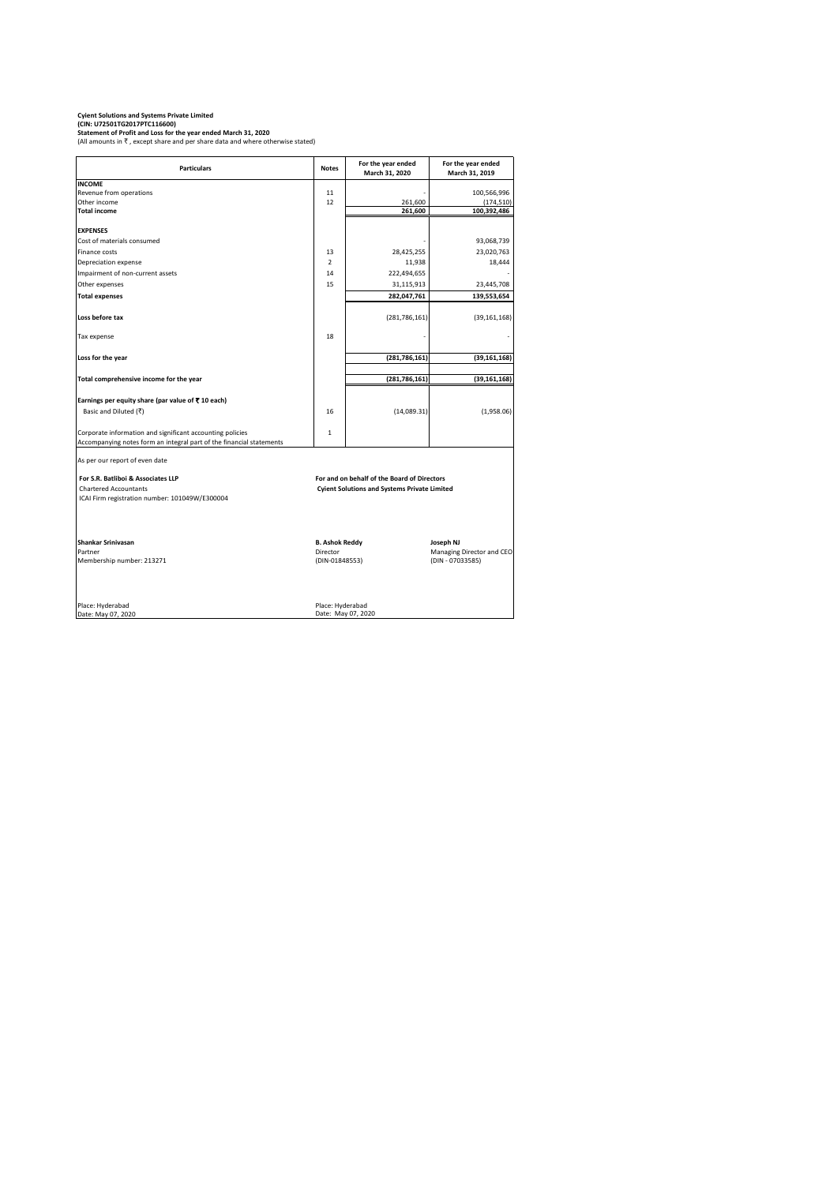#### **Cyient Solutions and Systems Private Limited (CIN: U72501TG2017PTC116600)**

**Statement of Profit and Loss for the year ended March 31, 2020** (All amounts in  $\bar{\tau}$ , except share and per share data and where otherwise stated)

Particulars **Notes Notes For the year ended March 31, 2020 For the year ended March 31, 2019 INCOME** Revenue from operations 100,566,996<br>
Other income 12 100,566,996<br>
12 261,600 174,510) Other income (174,510) (174,510) (174,510) (174,510) (174,510) **Total income 261,600 100,392,486 EXPENSES** Cost of materials consumed and the set of materials consumed and the set of materials consumed and the set of  $\sim$  93,068,739 Finance costs 13 23,020,763 23,020,763 23,020,763 23,020,763 23,020,763 23,020,763 Depreciation expense 2 18,444 Impairment of non-current assets 14 14 222,494,655 Other expenses 23,445,708 23,445,708 **Total expenses** 282,047,761 **139,553,654 Loss before tax** (281,786,161) (39,161,168) Tax expense that the set of the set of the set of the set of the set of the set of the set of the set of the set of the set of the set of the set of the set of the set of the set of the set of the set of the set of the se **Loss for the year** (39,161,168) **Total comprehensive income for the year (281,786,161)** (281,786,161) (39,161,168) **Earnings per equity share (par value of** ` **10 each)** Basic and Diluted ( $\vec{\tau}$ ) (1,958.06) Corporate information and significant accounting policies and the state of the 1 Accompanying notes form an integral part of the financial statements As per our report of even date  **For S.R. Batliboi & Associates LLP** Chartered Accountants **Cyient Solutions and Systems Private Limited** ICAI Firm registration number: 101049W/E300004 **Shankar Srinivasan B. Ashok Reddy Joseph NJ** Partner Managing Director (Partner Managing Director and CEO)<br>
Membership number: 213271 (DIN-01848553) Membership number: 213271 Membership number: 213271 (DIN-01848553) Place: Hyderabad Place: Hyderabad Place: Hyderabad **For and on behalf of the Board of Directors**

Date: May 07, 2020 Date: May 07, 2020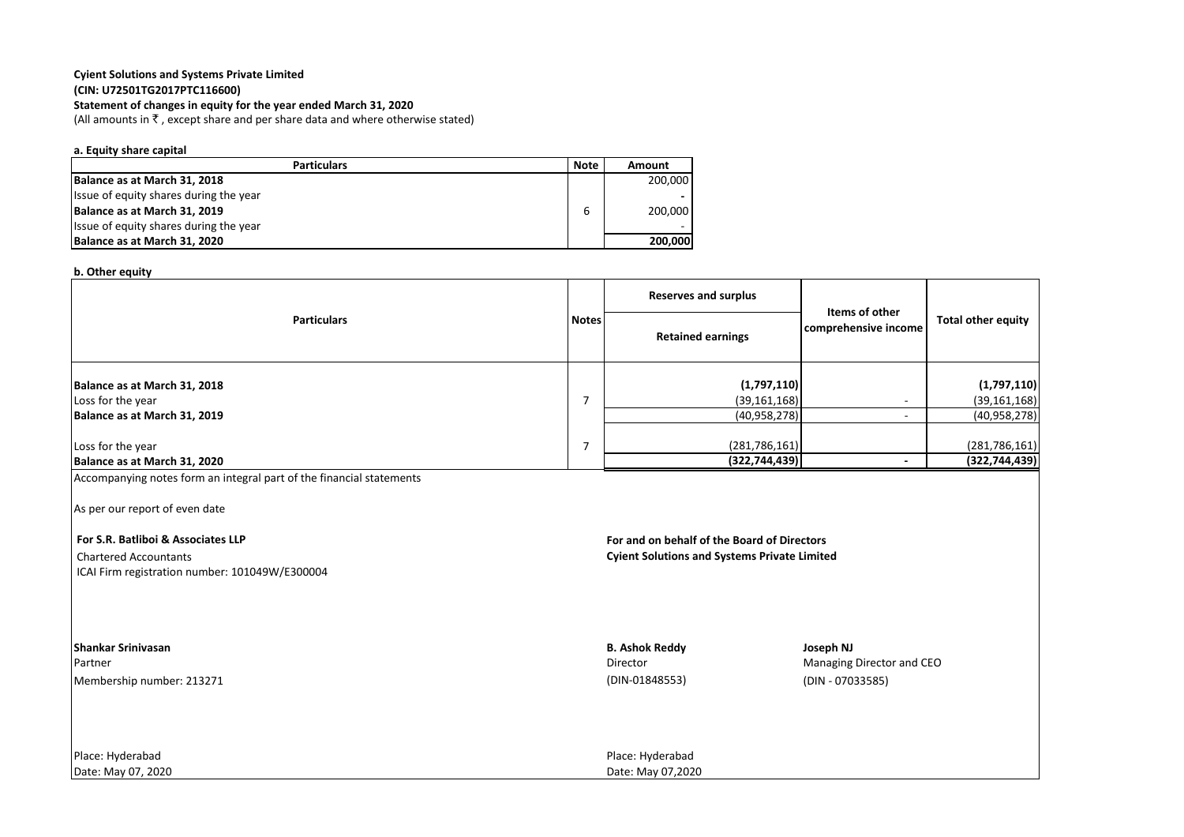#### **Cyient Solutions and Systems Private Limited (CIN: U72501TG2017PTC116600)**

#### **Statement of changes in equity for the year ended March 31, 2020**

(All amounts in  $\bar{\tau}$ , except share and per share data and where otherwise stated)

#### **a. Equity share capital**

| <b>Particulars</b>                     |   | Amount  |
|----------------------------------------|---|---------|
| Balance as at March 31, 2018           |   | 200.000 |
| Issue of equity shares during the year |   |         |
| Balance as at March 31, 2019           | 6 | 200.000 |
| Issue of equity shares during the year |   |         |
| Balance as at March 31, 2020           |   | 200,000 |

#### **b. Other equity**

|                                                                                   |              | <b>Reserves and surplus</b>                   | Items of other       |                                                 |  |
|-----------------------------------------------------------------------------------|--------------|-----------------------------------------------|----------------------|-------------------------------------------------|--|
| <b>Particulars</b>                                                                | <b>Notes</b> | <b>Retained earnings</b>                      | comprehensive income | <b>Total other equity</b>                       |  |
| Balance as at March 31, 2018<br>Loss for the year<br>Balance as at March 31, 2019 |              | (1,797,110)<br>(39, 161, 168)<br>(40,958,278) |                      | (1,797,110)<br>(39, 161, 168)<br>(40, 958, 278) |  |
| Loss for the year<br>Balance as at March 31, 2020                                 |              | (281, 786, 161)<br>(322, 744, 439)            |                      | (281, 786, 161)<br>(322, 744, 439)              |  |

Accompanying notes form an integral part of the financial statements

As per our report of even date

ICAI Firm registration number: 101049W/E300004

 **For S.R. Batliboi & Associates LLP For and on behalf of the Board of Directors** Chartered Accountants **Cyient Solutions and Systems Private Limited**

| <b>Shankar Srinivasan</b> | <b>B. Ashok Reddy</b> | Joseph NJ                 |
|---------------------------|-----------------------|---------------------------|
| Partner                   | Director              | Managing Director and CEO |
| Membership number: 213271 | (DIN-01848553)        | (DIN - 07033585)          |
|                           |                       |                           |
|                           |                       |                           |
|                           |                       |                           |
| Place: Hyderabad          |                       |                           |
|                           | Place: Hyderabad      |                           |

Date: May 07, 2020 Date: May 07,2020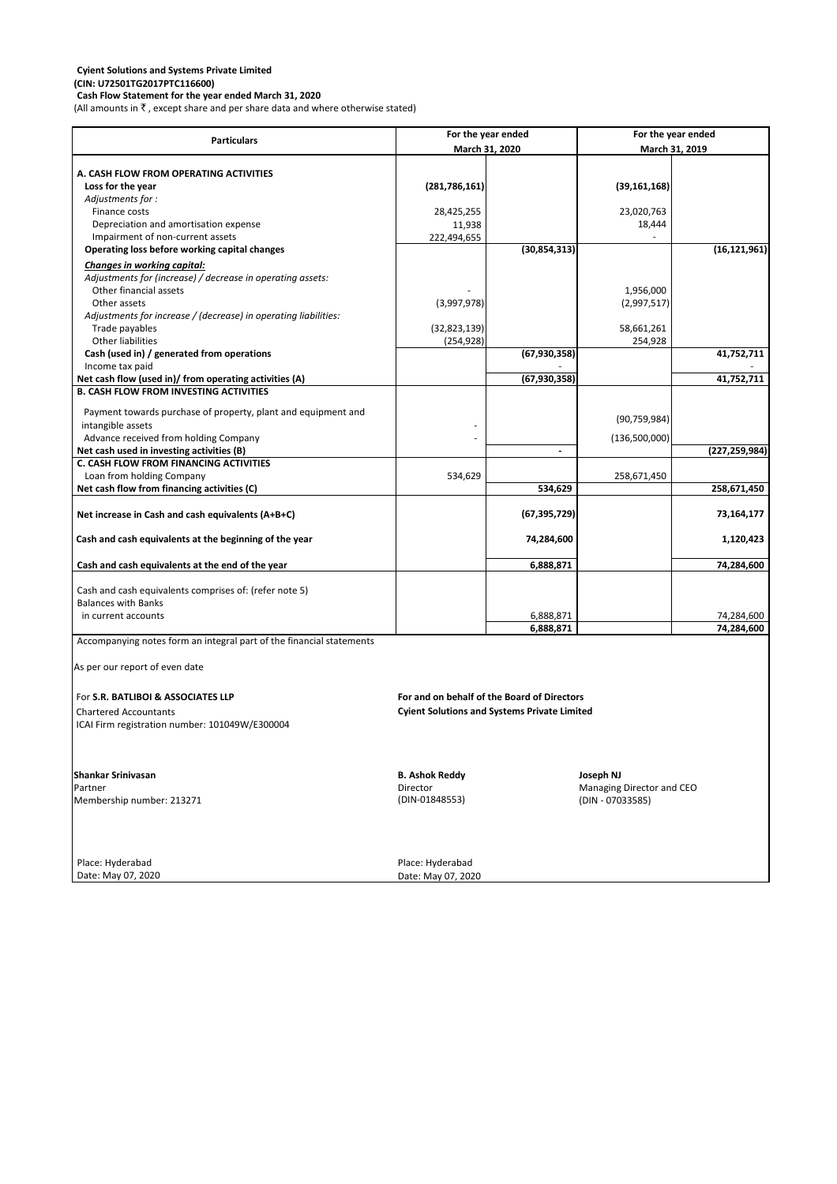**Cash Flow Statement for the year ended March 31, 2020** (All amounts in  $\bar{\tau}$  , except share and per share data and where otherwise stated)

**(CIN: U72501TG2017PTC116600)**

|                                                                      | For the year ended                                  |                | For the year ended |                 |
|----------------------------------------------------------------------|-----------------------------------------------------|----------------|--------------------|-----------------|
| <b>Particulars</b>                                                   |                                                     |                |                    |                 |
|                                                                      | March 31, 2020                                      |                | March 31, 2019     |                 |
| A. CASH FLOW FROM OPERATING ACTIVITIES                               |                                                     |                |                    |                 |
| Loss for the year                                                    | (281, 786, 161)                                     |                | (39, 161, 168)     |                 |
| Adjustments for:                                                     |                                                     |                |                    |                 |
| Finance costs                                                        | 28,425,255                                          |                | 23,020,763         |                 |
| Depreciation and amortisation expense                                | 11,938                                              |                | 18,444             |                 |
| Impairment of non-current assets                                     | 222,494,655                                         |                |                    |                 |
| Operating loss before working capital changes                        |                                                     | (30, 854, 313) |                    | (16, 121, 961)  |
| <b>Changes in working capital:</b>                                   |                                                     |                |                    |                 |
| Adjustments for (increase) / decrease in operating assets:           |                                                     |                |                    |                 |
| Other financial assets                                               |                                                     |                | 1,956,000          |                 |
| Other assets                                                         | (3,997,978)                                         |                | (2,997,517)        |                 |
| Adjustments for increase / (decrease) in operating liabilities:      |                                                     |                |                    |                 |
| Trade payables                                                       | (32,823,139)                                        |                | 58,661,261         |                 |
| Other liabilities                                                    | (254, 928)                                          |                | 254,928            |                 |
| Cash (used in) / generated from operations                           |                                                     | (67, 930, 358) |                    | 41,752,711      |
| Income tax paid                                                      |                                                     |                |                    |                 |
| Net cash flow (used in)/ from operating activities (A)               |                                                     | (67, 930, 358) |                    | 41,752,711      |
| <b>B. CASH FLOW FROM INVESTING ACTIVITIES</b>                        |                                                     |                |                    |                 |
|                                                                      |                                                     |                |                    |                 |
| Payment towards purchase of property, plant and equipment and        |                                                     |                | (90, 759, 984)     |                 |
| intangible assets                                                    |                                                     |                |                    |                 |
| Advance received from holding Company                                |                                                     |                | (136,500,000)      |                 |
| Net cash used in investing activities (B)                            |                                                     |                |                    | (227, 259, 984) |
| <b>C. CASH FLOW FROM FINANCING ACTIVITIES</b>                        |                                                     |                |                    |                 |
| Loan from holding Company                                            | 534,629                                             |                | 258,671,450        |                 |
| Net cash flow from financing activities (C)                          |                                                     | 534,629        |                    | 258,671,450     |
|                                                                      |                                                     |                |                    |                 |
| Net increase in Cash and cash equivalents (A+B+C)                    |                                                     | (67, 395, 729) |                    | 73, 164, 177    |
|                                                                      |                                                     |                |                    |                 |
| Cash and cash equivalents at the beginning of the year               |                                                     | 74,284,600     |                    | 1,120,423       |
|                                                                      |                                                     | 6,888,871      |                    | 74,284,600      |
| Cash and cash equivalents at the end of the year                     |                                                     |                |                    |                 |
| Cash and cash equivalents comprises of: (refer note 5)               |                                                     |                |                    |                 |
| <b>Balances with Banks</b>                                           |                                                     |                |                    |                 |
| in current accounts                                                  |                                                     | 6,888,871      |                    | 74,284,600      |
|                                                                      |                                                     | 6,888,871      |                    | 74,284,600      |
| Accompanying notes form an integral part of the financial statements |                                                     |                |                    |                 |
|                                                                      |                                                     |                |                    |                 |
| As per our report of even date                                       |                                                     |                |                    |                 |
|                                                                      |                                                     |                |                    |                 |
|                                                                      |                                                     |                |                    |                 |
| For S.R. BATLIBOI & ASSOCIATES LLP                                   | For and on behalf of the Board of Directors         |                |                    |                 |
| <b>Chartered Accountants</b>                                         | <b>Cyient Solutions and Systems Private Limited</b> |                |                    |                 |
| ICAI Firm registration number: 101049W/E300004                       |                                                     |                |                    |                 |
|                                                                      |                                                     |                |                    |                 |
|                                                                      |                                                     |                |                    |                 |
|                                                                      |                                                     |                |                    |                 |
| <b>Shankar Srinivasan</b>                                            | <b>B. Ashok Reddy</b>                               |                | Joseph NJ          |                 |

Partner Managing Director and CEO<br>
Membership number: 213271 Membership number: 213271 Membership number: 213271 Membership number: 213271 Membership number: 213271

Date: May 07, 2020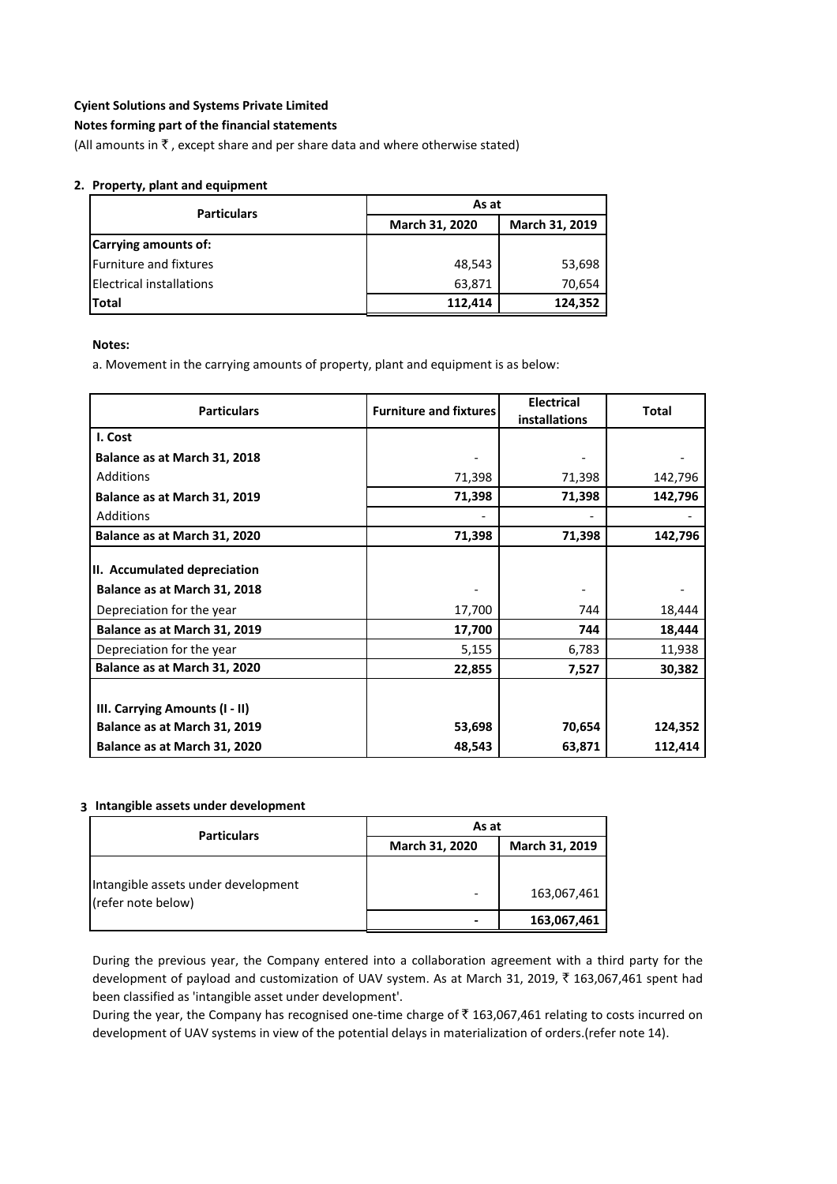#### **Notes forming part of the financial statements**

(All amounts in  $\bar{\tau}$ , except share and per share data and where otherwise stated)

#### **2. Property, plant and equipment**

| <b>Particulars</b>              | As at          |                |  |
|---------------------------------|----------------|----------------|--|
|                                 | March 31, 2020 | March 31, 2019 |  |
| Carrying amounts of:            |                |                |  |
| <b>Furniture and fixtures</b>   | 48,543         | 53,698         |  |
| <b>Electrical installations</b> | 63,871         | 70,654         |  |
| <b>Total</b>                    | 112,414        | 124,352        |  |

**Notes:**

a. Movement in the carrying amounts of property, plant and equipment is as below:

| <b>Particulars</b>             | <b>Furniture and fixtures</b> | <b>Electrical</b><br>installations | <b>Total</b> |
|--------------------------------|-------------------------------|------------------------------------|--------------|
| I. Cost                        |                               |                                    |              |
| Balance as at March 31, 2018   |                               |                                    |              |
| <b>Additions</b>               | 71,398                        | 71,398                             | 142,796      |
| Balance as at March 31, 2019   | 71,398                        | 71,398                             | 142,796      |
| Additions                      |                               |                                    |              |
| Balance as at March 31, 2020   | 71,398                        | 71,398                             | 142,796      |
| II. Accumulated depreciation   |                               |                                    |              |
| Balance as at March 31, 2018   |                               |                                    |              |
| Depreciation for the year      | 17,700                        | 744                                | 18,444       |
| Balance as at March 31, 2019   | 17,700                        | 744                                | 18,444       |
| Depreciation for the year      | 5,155                         | 6,783                              | 11,938       |
| Balance as at March 31, 2020   | 22,855                        | 7,527                              | 30,382       |
| III. Carrying Amounts (I - II) |                               |                                    |              |
| Balance as at March 31, 2019   | 53,698                        | 70,654                             | 124,352      |
| Balance as at March 31, 2020   | 48,543                        | 63,871                             | 112,414      |

#### **3 Intangible assets under development**

| <b>Particulars</b>                                        | As at          |                |
|-----------------------------------------------------------|----------------|----------------|
|                                                           | March 31, 2020 | March 31, 2019 |
| Intangible assets under development<br>(refer note below) |                | 163,067,461    |
|                                                           |                | 163,067,461    |

During the previous year, the Company entered into a collaboration agreement with a third party for the development of payload and customization of UAV system. As at March 31, 2019, ₹ 163,067,461 spent had been classified as 'intangible asset under development'.

During the year, the Company has recognised one-time charge of  $\bar{\tau}$  163,067,461 relating to costs incurred on development of UAV systems in view of the potential delays in materialization of orders.(refer note 14).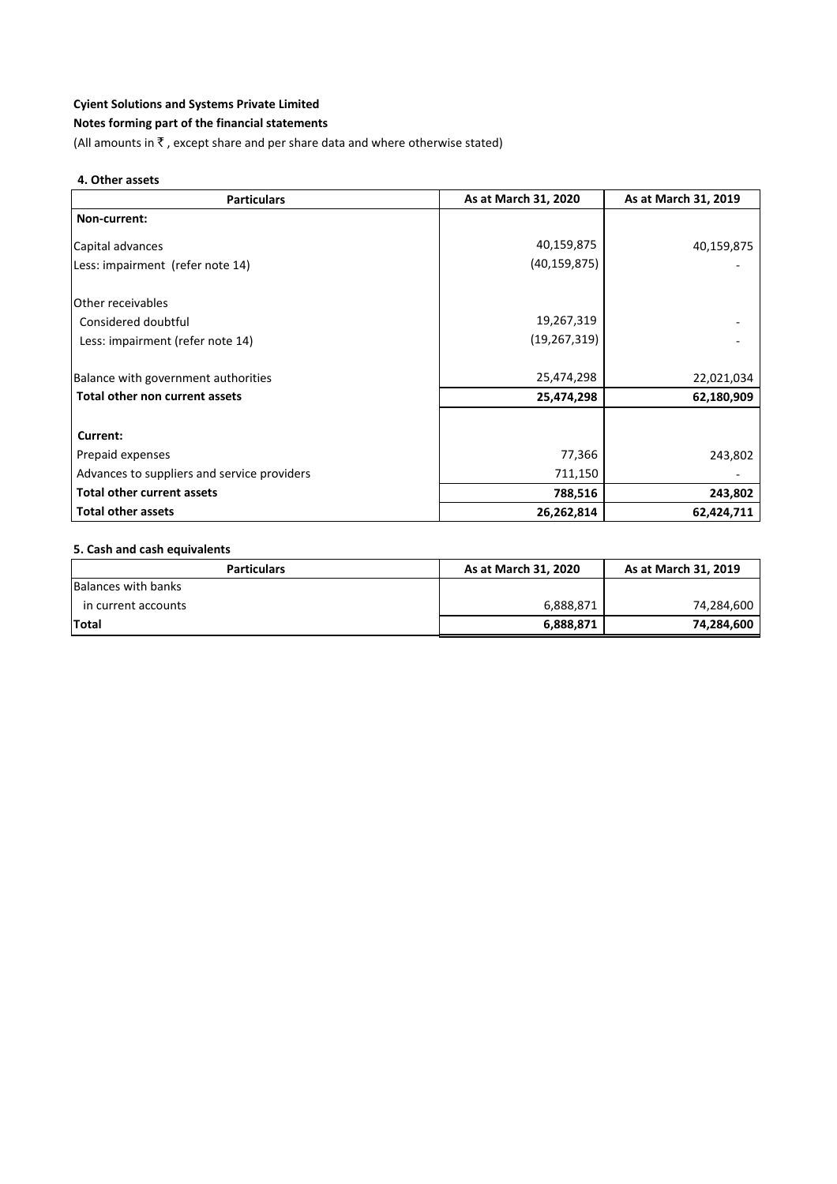#### **Notes forming part of the financial statements**

(All amounts in  $\bar{\tau}$  , except share and per share data and where otherwise stated)

#### **4. Other assets**

| <b>Particulars</b>                          | As at March 31, 2020 | As at March 31, 2019 |
|---------------------------------------------|----------------------|----------------------|
| Non-current:                                |                      |                      |
| Capital advances                            | 40,159,875           | 40,159,875           |
| Less: impairment (refer note 14)            | (40, 159, 875)       |                      |
| Other receivables                           |                      |                      |
| Considered doubtful                         | 19,267,319           |                      |
| Less: impairment (refer note 14)            | (19, 267, 319)       |                      |
| Balance with government authorities         | 25,474,298           | 22,021,034           |
| Total other non current assets              | 25,474,298           | 62,180,909           |
| Current:                                    |                      |                      |
| Prepaid expenses                            | 77,366               | 243,802              |
| Advances to suppliers and service providers | 711,150              |                      |
| <b>Total other current assets</b>           | 788,516              | 243,802              |
| <b>Total other assets</b>                   | 26,262,814           | 62,424,711           |

#### **5. Cash and cash equivalents**

| <b>Particulars</b>  | As at March 31, 2020 | As at March 31, 2019 |
|---------------------|----------------------|----------------------|
| Balances with banks |                      |                      |
| in current accounts | 6,888,871            | 74,284,600           |
| <b>Total</b>        | 6,888,871            | 74,284,600           |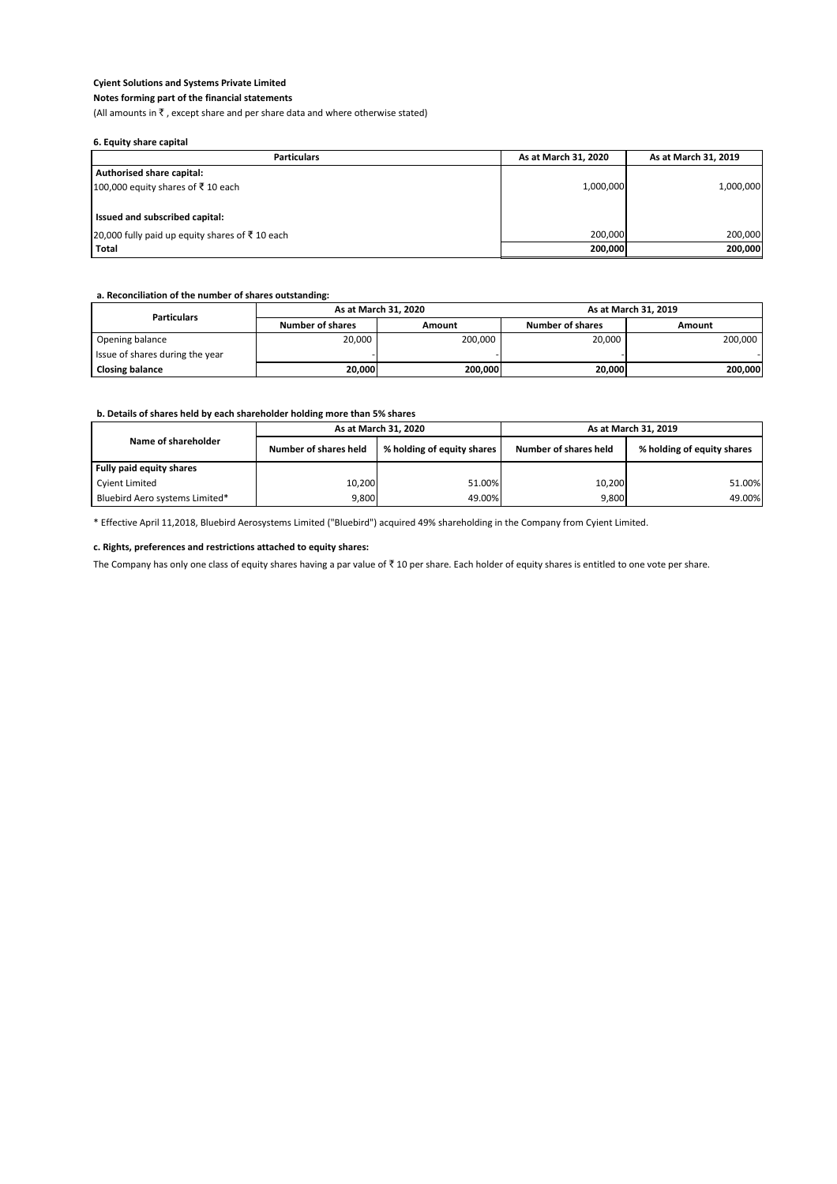#### **Notes forming part of the financial statements**

(All amounts in  $\bar{\tau}$ , except share and per share data and where otherwise stated)

#### **6. Equity share capital**

#### **a. Reconciliation of the number of shares outstanding:**

#### **b. Details of shares held by each shareholder holding more than 5% shares**

| <b>Particulars</b>                                        | As at March 31, 2020 | As at March 31, 2019 |
|-----------------------------------------------------------|----------------------|----------------------|
| Authorised share capital:                                 |                      |                      |
| 100,000 equity shares of ₹10 each                         | 1,000,000            | 1,000,000            |
|                                                           |                      |                      |
| I Issued and subscribed capital:                          |                      |                      |
| 20,000 fully paid up equity shares of $\bar{\xi}$ 10 each | 200.000              | 200,000              |
| Total                                                     | 200,000              | 200,000              |

| <b>Particulars</b>              | As at March 31, 2020    |         | As at March 31, 2019    |         |
|---------------------------------|-------------------------|---------|-------------------------|---------|
|                                 | <b>Number of shares</b> | Amount  | <b>Number of shares</b> | Amount  |
| Opening balance                 | 20,000                  | 200,000 | 20,000                  | 200,000 |
| Issue of shares during the year |                         |         |                         |         |
| <b>Closing balance</b>          | 20,000                  | 200,000 | 20,000                  | 200,000 |

#### **c. Rights, preferences and restrictions attached to equity shares:**

The Company has only one class of equity shares having a par value of  $\bar{\tau}$  10 per share. Each holder of equity shares is entitled to one vote per share.

|                                | As at March 31, 2020  |                            | As at March 31, 2019  |                            |
|--------------------------------|-----------------------|----------------------------|-----------------------|----------------------------|
| Name of shareholder            | Number of shares held | % holding of equity shares | Number of shares held | % holding of equity shares |
| Fully paid equity shares       |                       |                            |                       |                            |
| Cyient Limited                 | 10,200                | 51.00%                     | 10,200                | 51.00%                     |
| Bluebird Aero systems Limited* | 9,800                 | 49.00%                     | 9,800                 | 49.00%                     |

\* Effective April 11,2018, Bluebird Aerosystems Limited ("Bluebird") acquired 49% shareholding in the Company from Cyient Limited.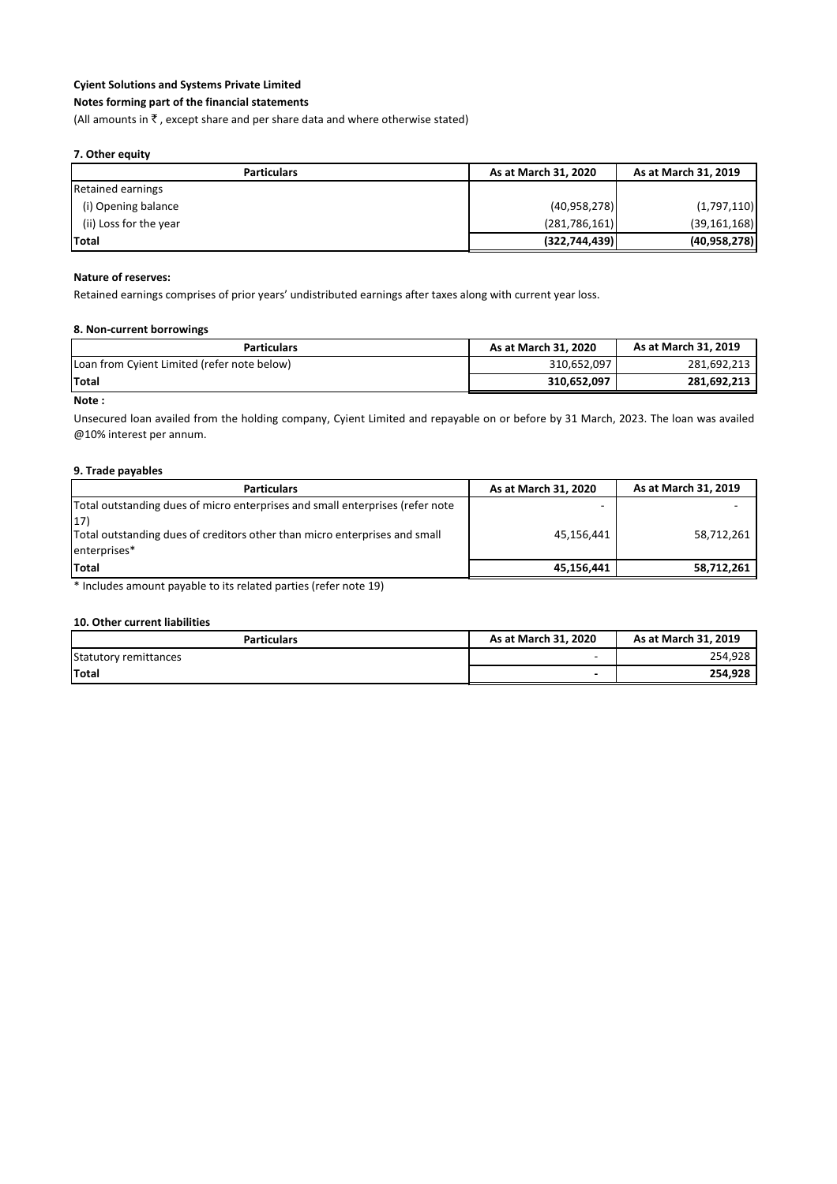#### **Notes forming part of the financial statements**

(All amounts in  $\bar{\tau}$  , except share and per share data and where otherwise stated)

#### **7. Other equity**

| <b>Particulars</b>       | As at March 31, 2020 | As at March 31, 2019 |
|--------------------------|----------------------|----------------------|
| <b>Retained earnings</b> |                      |                      |
| (i) Opening balance      | (40,958,278)         | (1,797,110)          |
| (ii) Loss for the year   | (281,786,161)        | (39, 161, 168)       |
| <b>Total</b>             | (322, 744, 439)      | (40, 958, 278)       |

#### **Nature of reserves:**

Retained earnings comprises of prior years' undistributed earnings after taxes along with current year loss.

#### **8. Non-current borrowings**

| <b>Particulars</b>                          | As at March 31, 2020 | As at March 31, 2019 |
|---------------------------------------------|----------------------|----------------------|
| Loan from Cyient Limited (refer note below) | 310.652.097          | 281.692.213          |
| <b>Total</b>                                | 310.652.097          | 281,692,213          |

#### **Note :**

Unsecured loan availed from the holding company, Cyient Limited and repayable on or before by 31 March, 2023. The loan was availed @10% interest per annum.

#### **9. Trade payables**

| As at March 31, 2020 | As at March 31, 2019 |
|----------------------|----------------------|
|                      |                      |
| 45,156,441           | 58,712,261           |
|                      |                      |
| 45,156,441           | 58,712,261           |
|                      |                      |

\* Includes amount payable to its related parties (refer note 19)

#### **10. Other current liabilities**

| <b>Particulars</b>    | As at March 31, 2020     | As at March 31, 2019 |
|-----------------------|--------------------------|----------------------|
| Statutory remittances | $\overline{\phantom{0}}$ | 254,928              |
| <b>Total</b>          | $\overline{\phantom{0}}$ | 254,928              |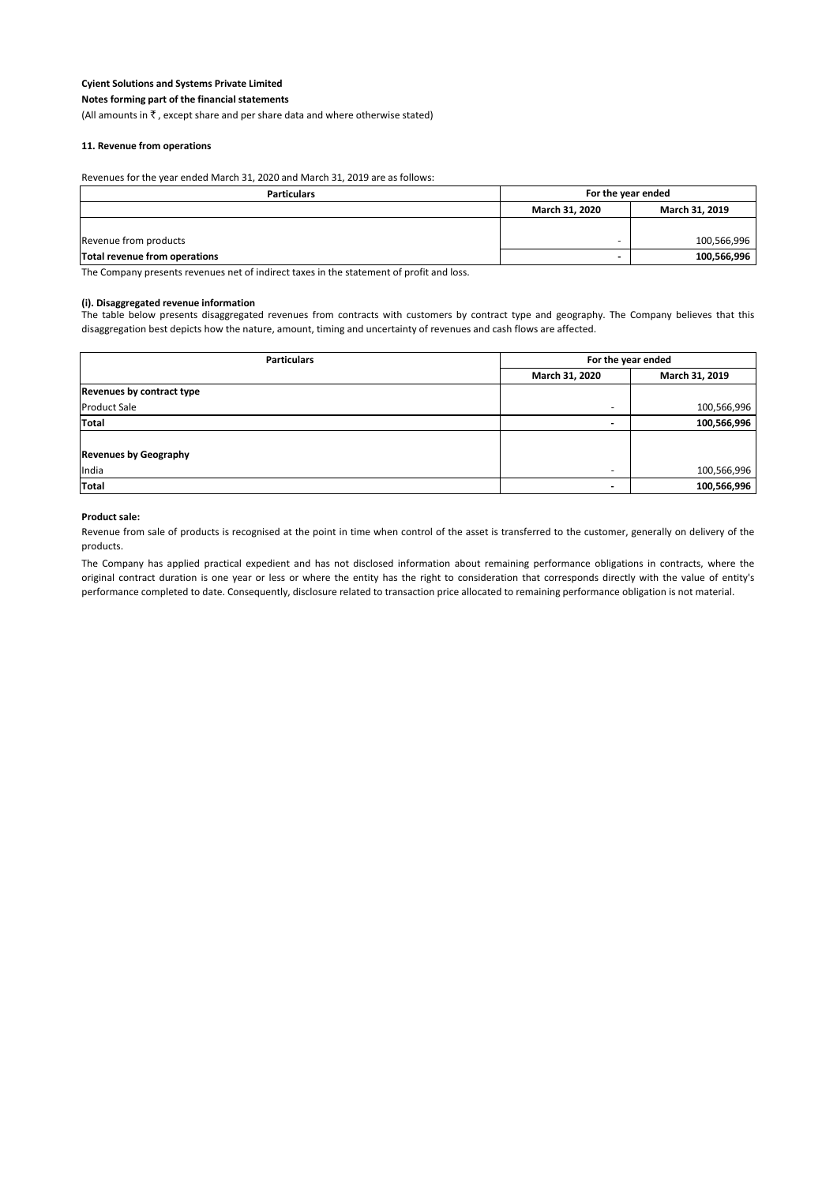**Notes forming part of the financial statements**

(All amounts in  $\bar{\tau}$ , except share and per share data and where otherwise stated)

#### **11. Revenue from operations**

Revenues for the year ended March 31, 2020 and March 31, 2019 are as follows:

| <b>Particulars</b>            | For the year ended |                |
|-------------------------------|--------------------|----------------|
|                               | March 31, 2020     | March 31, 2019 |
|                               |                    |                |
| Revenue from products         |                    | 100,566,996    |
| Total revenue from operations |                    | 100,566,996    |

The Company presents revenues net of indirect taxes in the statement of profit and loss.

#### **(i). Disaggregated revenue information**

The table below presents disaggregated revenues from contracts with customers by contract type and geography. The Company believes that this disaggregation best depicts how the nature, amount, timing and uncertainty of revenues and cash flows are affected.

| <b>Particulars</b>               | For the year ended |                |
|----------------------------------|--------------------|----------------|
|                                  | March 31, 2020     | March 31, 2019 |
| <b>Revenues by contract type</b> |                    |                |
| <b>Product Sale</b>              |                    | 100,566,996    |
| <b>Total</b>                     |                    | 100,566,996    |
|                                  |                    |                |
| <b>Revenues by Geography</b>     |                    |                |
| India                            |                    | 100,566,996    |
| <b>Total</b>                     |                    | 100,566,996    |

#### **Product sale:**

Revenue from sale of products is recognised at the point in time when control of the asset is transferred to the customer, generally on delivery of the products.

The Company has applied practical expedient and has not disclosed information about remaining performance obligations in contracts, where the original contract duration is one year or less or where the entity has the right to consideration that corresponds directly with the value of entity's performance completed to date. Consequently, disclosure related to transaction price allocated to remaining performance obligation is not material.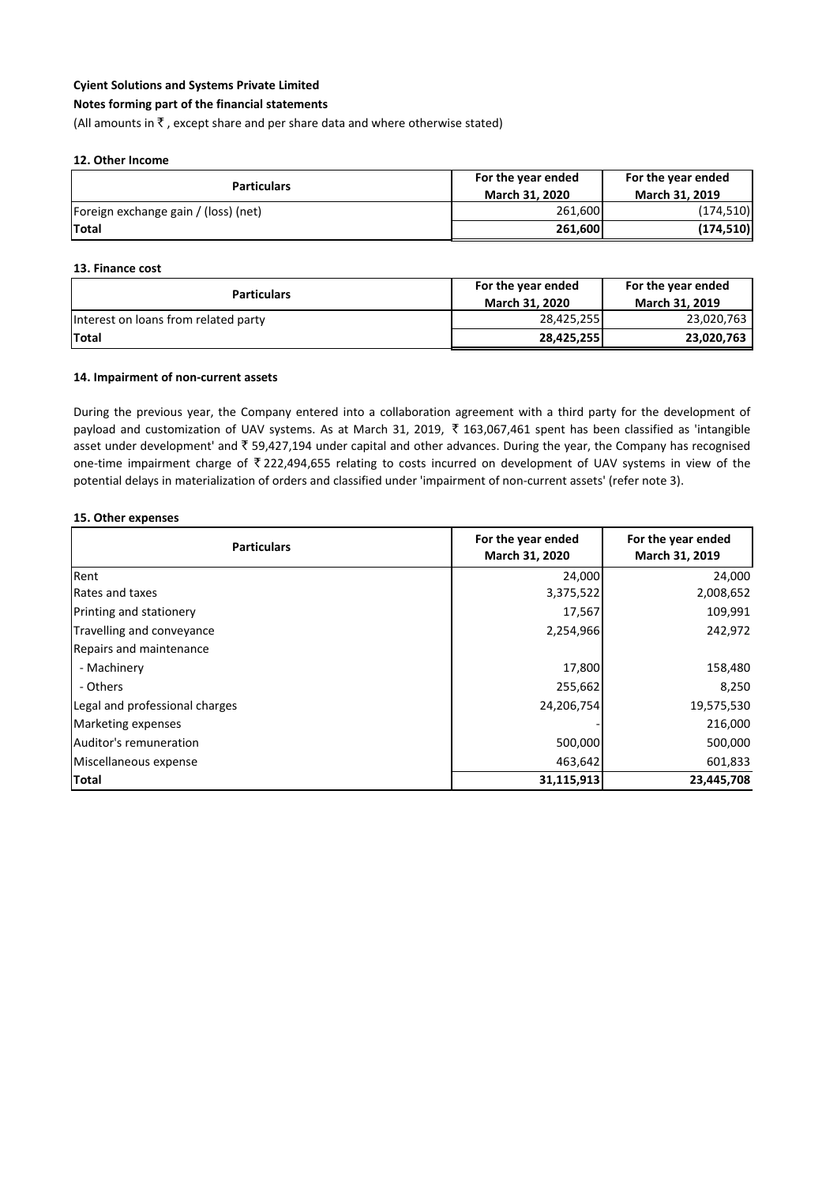#### **Notes forming part of the financial statements**

(All amounts in  $\bar{\tau}$ , except share and per share data and where otherwise stated)

#### **12. Other Income**

| <b>Particulars</b>                   | For the year ended<br><b>March 31, 2020</b> | For the year ended<br><b>March 31, 2019</b> |
|--------------------------------------|---------------------------------------------|---------------------------------------------|
| Foreign exchange gain / (loss) (net) | 261,600                                     | (174, 510)                                  |
| <b>ITotal</b>                        | 261,600                                     | (174, 510)                                  |

#### **13. Finance cost**

**15. Other expenses**

| <b>Particulars</b>                   | For the year ended    | For the year ended    |
|--------------------------------------|-----------------------|-----------------------|
|                                      | <b>March 31, 2020</b> | <b>March 31, 2019</b> |
| Interest on loans from related party | 28,425,255            | 23,020,763            |
| <b>Total</b>                         | 28,425,255            | 23.020.763            |

#### **14. Impairment of non-current assets**

During the previous year, the Company entered into a collaboration agreement with a third party for the development of payload and customization of UAV systems. As at March 31, 2019,  $\bar{\tau}$  163,067,461 spent has been classified as 'intangible asset under development' and  $\bar{t}$  59,427,194 under capital and other advances. During the year, the Company has recognised one-time impairment charge of  $\bar{\tau}$  222,494,655 relating to costs incurred on development of UAV systems in view of the potential delays in materialization of orders and classified under 'impairment of non-current assets' (refer note 3).

> **For the year ended March 31, 2019**

# **Particulars For the year ended For the year ended March 31, 2020** Rent 24,000 المسلم 24,000 المسلم 24,000 المسلم 24,000 المسلم 24,000 المسلم 24,000 المسلم 24,000 المسلم 24,000 Repairs and maintenance

| Total                          | 31,115,913 | 23,445,708 |
|--------------------------------|------------|------------|
| Miscellaneous expense          | 463,642    | 601,833    |
| Auditor's remuneration         | 500,000    | 500,000    |
| Marketing expenses             |            | 216,000    |
| Legal and professional charges | 24,206,754 | 19,575,530 |
| - Others                       | 255,662    | 8,250      |
| - Machinery                    | 17,800     | 158,480    |
| Repairs and maintenance        |            |            |
| Travelling and conveyance      | 2,254,966  | 242,972    |
| Printing and stationery        | 17,567     | 109,991    |
| Rates and taxes                | 3,375,522  | 2,008,652  |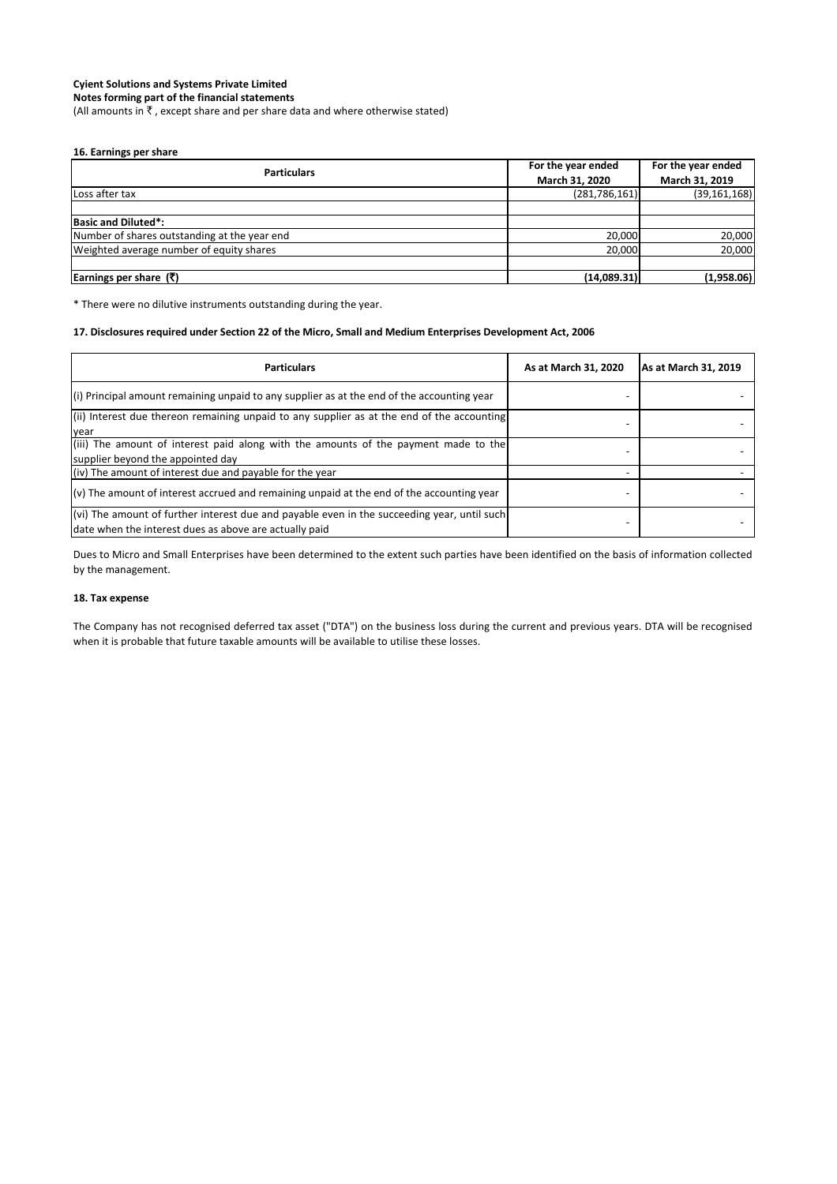**Notes forming part of the financial statements**

(All amounts in  $\bar{\tau}$ , except share and per share data and where otherwise stated)

#### **16. Earnings per share**

| <b>Particulars</b>                           | For the year ended | For the year ended |
|----------------------------------------------|--------------------|--------------------|
|                                              | March 31, 2020     | March 31, 2019     |
| Loss after tax                               | (281, 786, 161)    | (39, 161, 168)     |
|                                              |                    |                    |
| <b>Basic and Diluted*:</b>                   |                    |                    |
| Number of shares outstanding at the year end | 20,000             | 20,000             |
| Weighted average number of equity shares     | 20,000             | 20,000             |
|                                              |                    |                    |
| <b>Earnings per share (₹)</b>                | (14,089.31)        | (1,958.06)         |

\* There were no dilutive instruments outstanding during the year.

#### **17. Disclosures required under Section 22 of the Micro, Small and Medium Enterprises Development Act, 2006**

| <b>Particulars</b>                                                                                                                                    | As at March 31, 2020 | As at March 31, 2019 |
|-------------------------------------------------------------------------------------------------------------------------------------------------------|----------------------|----------------------|
| $(i)$ Principal amount remaining unpaid to any supplier as at the end of the accounting year                                                          |                      |                      |
| (ii) Interest due thereon remaining unpaid to any supplier as at the end of the accounting<br>year                                                    |                      |                      |
| (iii) The amount of interest paid along with the amounts of the payment made to the<br>supplier beyond the appointed day                              |                      |                      |
| $(iv)$ The amount of interest due and payable for the year                                                                                            |                      |                      |
| $(v)$ The amount of interest accrued and remaining unpaid at the end of the accounting year                                                           |                      |                      |
| (vi) The amount of further interest due and payable even in the succeeding year, until such<br>date when the interest dues as above are actually paid |                      |                      |

Dues to Micro and Small Enterprises have been determined to the extent such parties have been identified on the basis of information collected by the management.

#### **18. Tax expense**

The Company has not recognised deferred tax asset ("DTA") on the business loss during the current and previous years. DTA will be recognised when it is probable that future taxable amounts will be available to utilise these losses.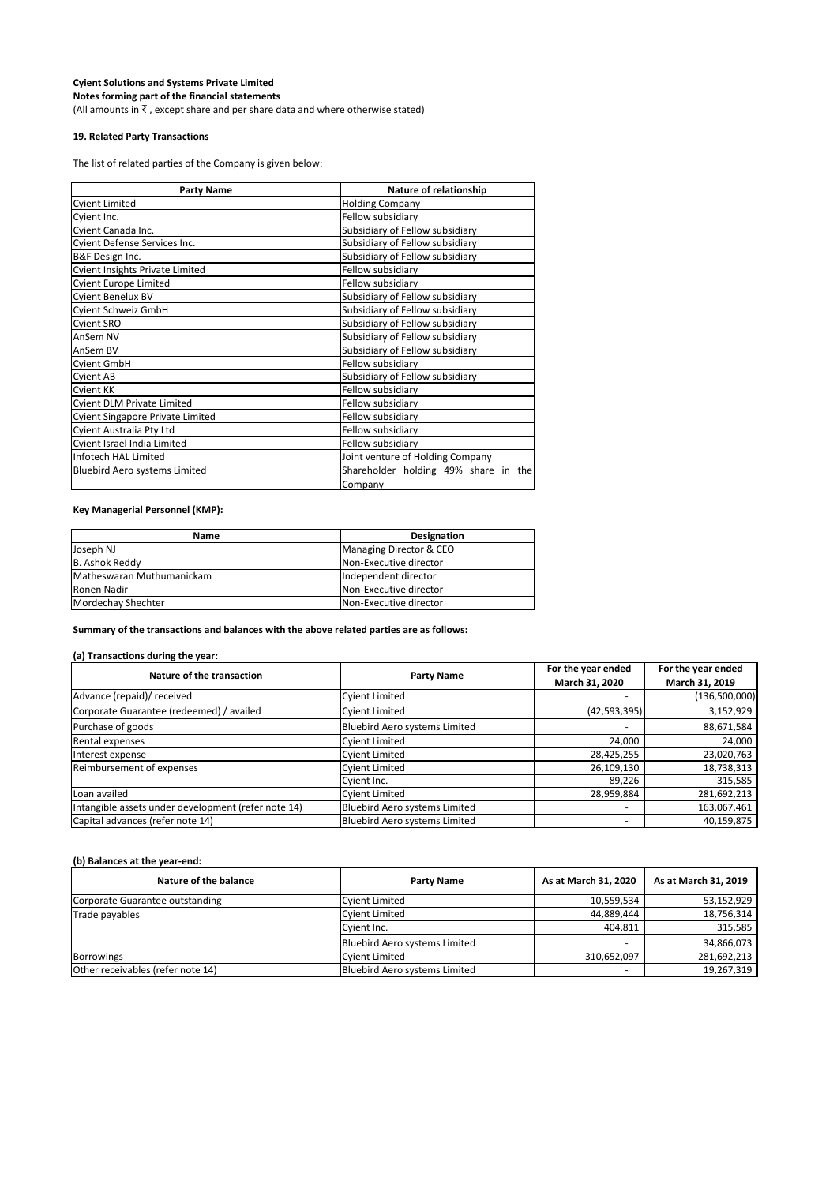**Notes forming part of the financial statements** (All amounts in  $\bar{\tau}$  , except share and per share data and where otherwise stated)

#### **19. Related Party Transactions**

The list of related parties of the Company is given below:

| <b>Party Name</b>                       | Nature of relationship               |
|-----------------------------------------|--------------------------------------|
| <b>Cyient Limited</b>                   | <b>Holding Company</b>               |
| Cyient Inc.                             | Fellow subsidiary                    |
| Cyient Canada Inc.                      | Subsidiary of Fellow subsidiary      |
| Cyient Defense Services Inc.            | Subsidiary of Fellow subsidiary      |
| B&F Design Inc.                         | Subsidiary of Fellow subsidiary      |
| <b>Cyient Insights Private Limited</b>  | Fellow subsidiary                    |
| <b>Cyient Europe Limited</b>            | Fellow subsidiary                    |
| Cyient Benelux BV                       | Subsidiary of Fellow subsidiary      |
| Cyient Schweiz GmbH                     | Subsidiary of Fellow subsidiary      |
| <b>Cyient SRO</b>                       | Subsidiary of Fellow subsidiary      |
| AnSem NV                                | Subsidiary of Fellow subsidiary      |
| AnSem BV                                | Subsidiary of Fellow subsidiary      |
| <b>Cyient GmbH</b>                      | Fellow subsidiary                    |
| <b>Cyient AB</b>                        | Subsidiary of Fellow subsidiary      |
| Cyient KK                               | Fellow subsidiary                    |
| <b>Cyient DLM Private Limited</b>       | Fellow subsidiary                    |
| <b>Cyient Singapore Private Limited</b> | Fellow subsidiary                    |
| Cyient Australia Pty Ltd                | Fellow subsidiary                    |
| Cyient Israel India Limited             | Fellow subsidiary                    |
| Infotech HAL Limited                    | Joint venture of Holding Company     |
| <b>Bluebird Aero systems Limited</b>    | Shareholder holding 49% share in the |
|                                         | Company                              |

#### **Key Managerial Personnel (KMP):**

| <b>Name</b>               | <b>Designation</b>             |
|---------------------------|--------------------------------|
| Joseph NJ                 | Managing Director & CEO        |
| B. Ashok Reddy            | <b>Non-Executive director</b>  |
| Matheswaran Muthumanickam | Independent director           |
| Ronen Nadir               | <b>INon-Executive director</b> |
| Mordechay Shechter        | <b>Non-Executive director</b>  |

**Summary of the transactions and balances with the above related parties are as follows:**

#### **(a) Transactions during the year:**

| Nature of the transaction                           |                                      | For the year ended | For the year ended |
|-----------------------------------------------------|--------------------------------------|--------------------|--------------------|
|                                                     | <b>Party Name</b>                    | March 31, 2020     | March 31, 2019     |
| Advance (repaid)/ received                          | <b>Cyient Limited</b>                |                    | (136,500,000)      |
| Corporate Guarantee (redeemed) / availed            | <b>Cyient Limited</b>                | (42, 593, 395)     | 3,152,929          |
| Purchase of goods                                   | Bluebird Aero systems Limited        |                    | 88,671,584         |
| Rental expenses                                     | <b>Cyient Limited</b>                | 24,000             | 24,000             |
| Interest expense                                    | <b>Cyient Limited</b>                | 28,425,255         | 23,020,763         |
| Reimbursement of expenses                           | <b>Cyient Limited</b>                | 26,109,130         | 18,738,313         |
|                                                     | Cyient Inc.                          | 89,226             | 315,585            |
| Loan availed                                        | <b>Cyient Limited</b>                | 28,959,884         | 281,692,213        |
| Intangible assets under development (refer note 14) | <b>Bluebird Aero systems Limited</b> |                    | 163,067,461        |
| Capital advances (refer note 14)                    | Bluebird Aero systems Limited        |                    | 40,159,875         |

#### **(b) Balances at the year-end:**

| Nature of the balance             | <b>Party Name</b>             | As at March 31, 2020     | As at March 31, 2019 |
|-----------------------------------|-------------------------------|--------------------------|----------------------|
| Corporate Guarantee outstanding   | <b>Cyient Limited</b>         | 10,559,534               | 53,152,929           |
| Trade payables                    | Cyient Limited                | 44,889,444               | 18,756,314           |
|                                   | <b>I</b> Cvient Inc.          | 404,811                  | 315,585              |
|                                   | Bluebird Aero systems Limited | $\overline{\phantom{a}}$ | 34,866,073           |
| Borrowings                        | <b>Cyjent Limited</b>         | 310,652,097              | 281,692,213          |
| Other receivables (refer note 14) | Bluebird Aero systems Limited |                          | 19,267,319           |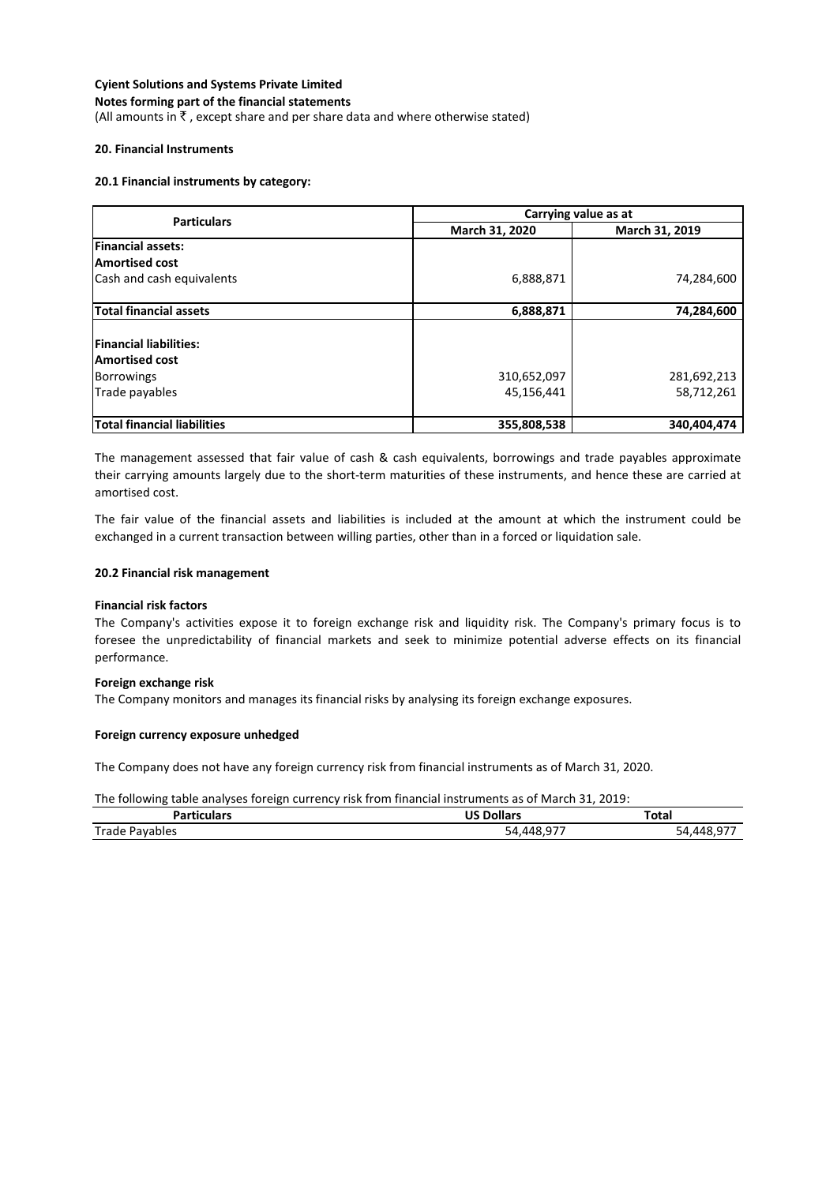#### **Cyient Solutions and Systems Private Limited Notes forming part of the financial statements**

(All amounts in  $\bar{\tau}$ , except share and per share data and where otherwise stated)

#### **20. Financial Instruments**

#### **20.1 Financial instruments by category:**

| <b>Particulars</b>                 | Carrying value as at |                |  |
|------------------------------------|----------------------|----------------|--|
|                                    | March 31, 2020       | March 31, 2019 |  |
| <b>Financial assets:</b>           |                      |                |  |
| <b>Amortised cost</b>              |                      |                |  |
| Cash and cash equivalents          | 6,888,871            | 74,284,600     |  |
| <b>Total financial assets</b>      | 6,888,871            | 74,284,600     |  |
| <b>Financial liabilities:</b>      |                      |                |  |
| <b>Amortised cost</b>              |                      |                |  |
| <b>Borrowings</b>                  | 310,652,097          | 281,692,213    |  |
| Trade payables                     | 45,156,441           | 58,712,261     |  |
| <b>Total financial liabilities</b> | 355,808,538          | 340,404,474    |  |

The management assessed that fair value of cash & cash equivalents, borrowings and trade payables approximate their carrying amounts largely due to the short-term maturities of these instruments, and hence these are carried at amortised cost.

The fair value of the financial assets and liabilities is included at the amount at which the instrument could be exchanged in a current transaction between willing parties, other than in a forced or liquidation sale.

#### **20.2 Financial risk management**

#### **Financial risk factors**

The Company's activities expose it to foreign exchange risk and liquidity risk. The Company's primary focus is to foresee the unpredictability of financial markets and seek to minimize potential adverse effects on its financial performance.

#### **Foreign exchange risk**

The Company monitors and manages its financial risks by analysing its foreign exchange exposures.

#### **Foreign currency exposure unhedged**

The Company does not have any foreign currency risk from financial instruments as of March 31, 2020.

The following table analyses foreign currency risk from financial instruments as of March 31, 2019:

| and a set of the<br>--- | .                     | Total    |
|-------------------------|-----------------------|----------|
| Trade<br>.<br>∵⊣vdDl∈.  | 54<br><i>n n</i><br>- | $-$<br>┄ |